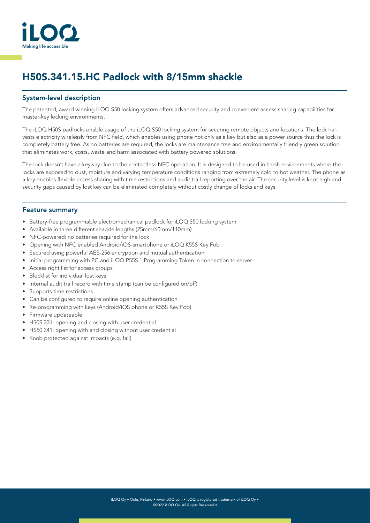

# H50S.341.15.HC Padlock with 8/15mm shackle

#### System-level description

The patented, award winning iLOQ S50 locking system offers advanced security and convenient access sharing capabilities for master-key locking environments.

The iLOQ H50S padlocks enable usage of the iLOQ S50 locking system for securing remote objects and locations. The lock harvests electricity wirelessly from NFC field, which enables using phone not only as a key but also as a power source thus the lock is completely battery free. As no batteries are required, the locks are maintenance free and environmentally friendly green solution that eliminates work, costs, waste and harm associated with battery powered solutions.

The lock doesn't have a keyway due to the contactless NFC operation. It is designed to be used in harsh environments where the locks are exposed to dust, moisture and varying temperature conditions ranging from extremely cold to hot weather. The phone as a key enables flexible access sharing with time restrictions and audit trail reporting over the air. The security level is kept high and security gaps caused by lost key can be eliminated completely without costly change of locks and keys.

#### Feature summary

- Battery-free programmable electromechanical padlock for iLOQ S50 locking system
- Available in three different shackle lengths (25mm/60mm/110mm)
- NFC-powered: no batteries required for the lock
- Opening with NFC enabled Android/iOS-smartphone or iLOQ K55S Key Fob
- Secured using powerful AES-256 encryption and mutual authentication
- Initial programming with PC and iLOQ P55S.1 Programming Token in connection to server
- Access right list for access groups
- Blocklist for individual lost keys
- Internal audit trail record with time stamp (can be configured on/off)
- Supports time restrictions
- Can be configured to require online opening authentication
- Re-programming with keys (Android/iOS phone or K55S Key Fob)
- Firmware updateable
- H50S.331: opening and closing with user credential
- HS50.341: opening with and closing without user credential
- Knob protected against impacts (e.g. fall)